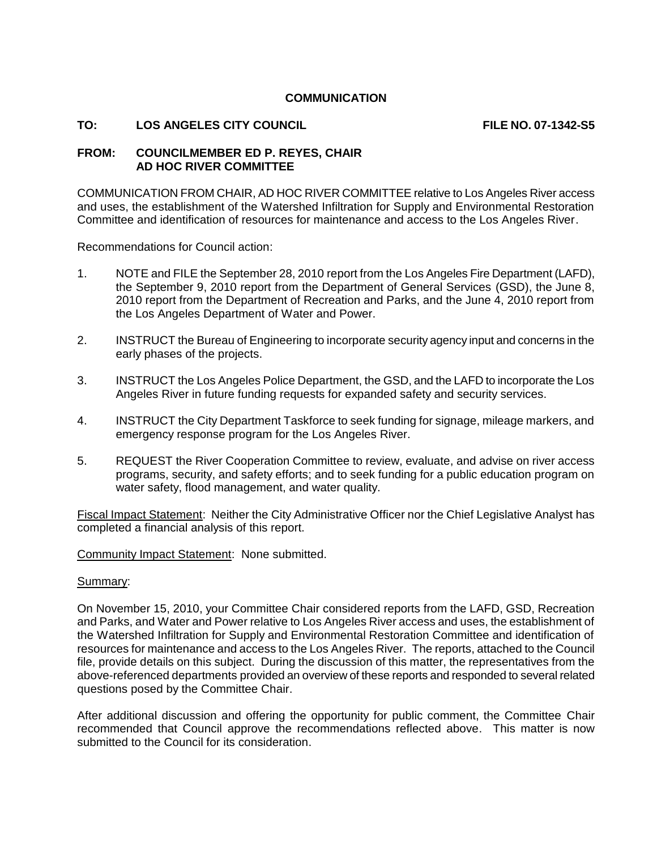# **COMMUNICATION**

## TO: LOS ANGELES CITY COUNCIL **FILE NO. 07-1342-S5**

## **FROM: COUNCILMEMBER ED P. REYES, CHAIR AD HOC RIVER COMMITTEE**

COMMUNICATION FROM CHAIR, AD HOC RIVER COMMITTEE relative to Los Angeles River access and uses, the establishment of the Watershed Infiltration for Supply and Environmental Restoration Committee and identification of resources for maintenance and access to the Los Angeles River.

Recommendations for Council action:

- 1. NOTE and FILE the September 28, 2010 report from the Los Angeles Fire Department (LAFD), the September 9, 2010 report from the Department of General Services (GSD), the June 8, 2010 report from the Department of Recreation and Parks, and the June 4, 2010 report from the Los Angeles Department of Water and Power.
- 2. INSTRUCT the Bureau of Engineering to incorporate security agency input and concerns in the early phases of the projects.
- 3. INSTRUCT the Los Angeles Police Department, the GSD, and the LAFD to incorporate the Los Angeles River in future funding requests for expanded safety and security services.
- 4. INSTRUCT the City Department Taskforce to seek funding for signage, mileage markers, and emergency response program for the Los Angeles River.
- 5. REQUEST the River Cooperation Committee to review, evaluate, and advise on river access programs, security, and safety efforts; and to seek funding for a public education program on water safety, flood management, and water quality.

Fiscal Impact Statement: Neither the City Administrative Officer nor the Chief Legislative Analyst has completed a financial analysis of this report.

Community Impact Statement: None submitted.

#### Summary:

On November 15, 2010, your Committee Chair considered reports from the LAFD, GSD, Recreation and Parks, and Water and Power relative to Los Angeles River access and uses, the establishment of the Watershed Infiltration for Supply and Environmental Restoration Committee and identification of resources for maintenance and access to the Los Angeles River. The reports, attached to the Council file, provide details on this subject. During the discussion of this matter, the representatives from the above-referenced departments provided an overview of these reports and responded to several related questions posed by the Committee Chair.

After additional discussion and offering the opportunity for public comment, the Committee Chair recommended that Council approve the recommendations reflected above. This matter is now submitted to the Council for its consideration.